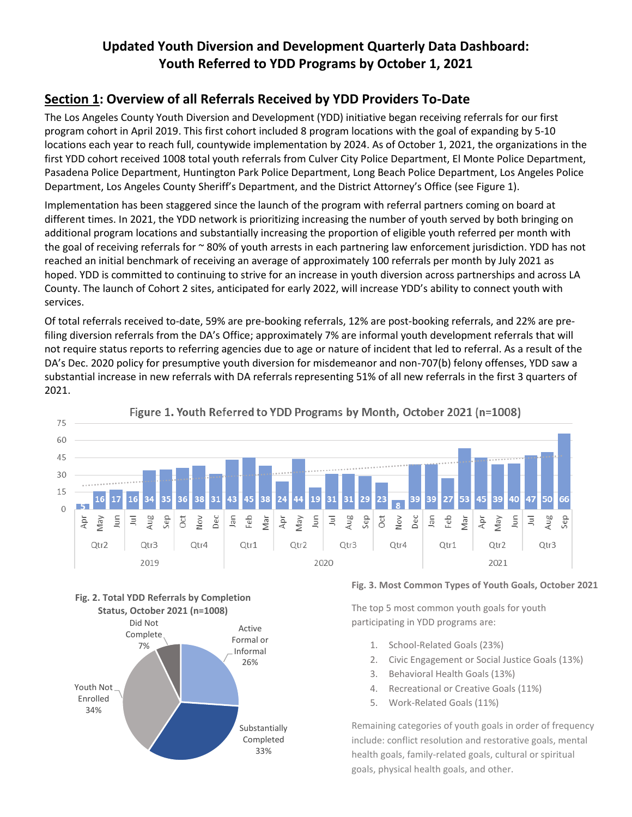# **Updated Youth Diversion and Development Quarterly Data Dashboard: Youth Referred to YDD Programs by October 1, 2021**

## **Section 1: Overview of all Referrals Received by YDD Providers To-Date**

The Los Angeles County Youth Diversion and Development (YDD) initiative began receiving referrals for our first program cohort in April 2019. This first cohort included 8 program locations with the goal of expanding by 5-10 locations each year to reach full, countywide implementation by 2024. As of October 1, 2021, the organizations in the first YDD cohort received 1008 total youth referrals from Culver City Police Department, El Monte Police Department, Pasadena Police Department, Huntington Park Police Department, Long Beach Police Department, Los Angeles Police Department, Los Angeles County Sheriff's Department, and the District Attorney's Office (see Figure 1).

Implementation has been staggered since the launch of the program with referral partners coming on board at different times. In 2021, the YDD network is prioritizing increasing the number of youth served by both bringing on additional program locations and substantially increasing the proportion of eligible youth referred per month with the goal of receiving referrals for  $\sim$  80% of youth arrests in each partnering law enforcement jurisdiction. YDD has not reached an initial benchmark of receiving an average of approximately 100 referrals per month by July 2021 as hoped. YDD is committed to continuing to strive for an increase in youth diversion across partnerships and across LA County. The launch of Cohort 2 sites, anticipated for early 2022, will increase YDD's ability to connect youth with services.

Of total referrals received to-date, 59% are pre-booking referrals, 12% are post-booking referrals, and 22% are prefiling diversion referrals from the DA's Office; approximately 7% are informal youth development referrals that will not require status reports to referring agencies due to age or nature of incident that led to referral. As a result of the DA's Dec. 2020 policy for presumptive youth diversion for misdemeanor and non-707(b) felony offenses, YDD saw a substantial increase in new referrals with DA referrals representing 51% of all new referrals in the first 3 quarters of 2021.



Figure 1. Youth Referred to YDD Programs by Month, October 2021 (n=1008)





#### **Fig. 3. Most Common Types of Youth Goals, October 2021**

The top 5 most common youth goals for youth participating in YDD programs are:

- 1. School-Related Goals (23%)
- 2. Civic Engagement or Social Justice Goals (13%)
- 3. Behavioral Health Goals (13%)
- 4. Recreational or Creative Goals (11%)
- 5. Work-Related Goals (11%)

Remaining categories of youth goals in order of frequency include: conflict resolution and restorative goals, mental health goals, family-related goals, cultural or spiritual goals, physical health goals, and other.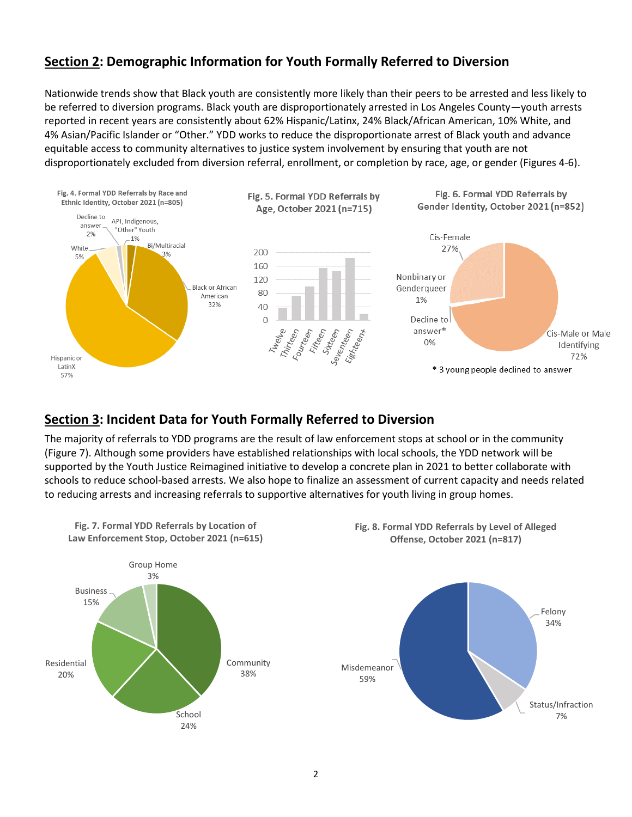### **Section 2: Demographic Information for Youth Formally Referred to Diversion**

Nationwide trends show that Black youth are consistently more likely than their peers to be arrested and less likely to be referred to diversion programs. Black youth are disproportionately arrested in Los Angeles County—youth arrests reported in recent years are consistently about 62% Hispanic/Latinx, 24% Black/African American, 10% White, and 4% Asian/Pacific Islander or "Other." YDD works to reduce the disproportionate arrest of Black youth and advance equitable access to community alternatives to justice system involvement by ensuring that youth are not disproportionately excluded from diversion referral, enrollment, or completion by race, age, or gender (Figures 4-6).



### **Section 3: Incident Data for Youth Formally Referred to Diversion**

The majority of referrals to YDD programs are the result of law enforcement stops at school or in the community (Figure 7). Although some providers have established relationships with local schools, the YDD network will be supported by the Youth Justice Reimagined initiative to develop a concrete plan in 2021 to better collaborate with schools to reduce school-based arrests. We also hope to finalize an assessment of current capacity and needs related to reducing arrests and increasing referrals to supportive alternatives for youth living in group homes.

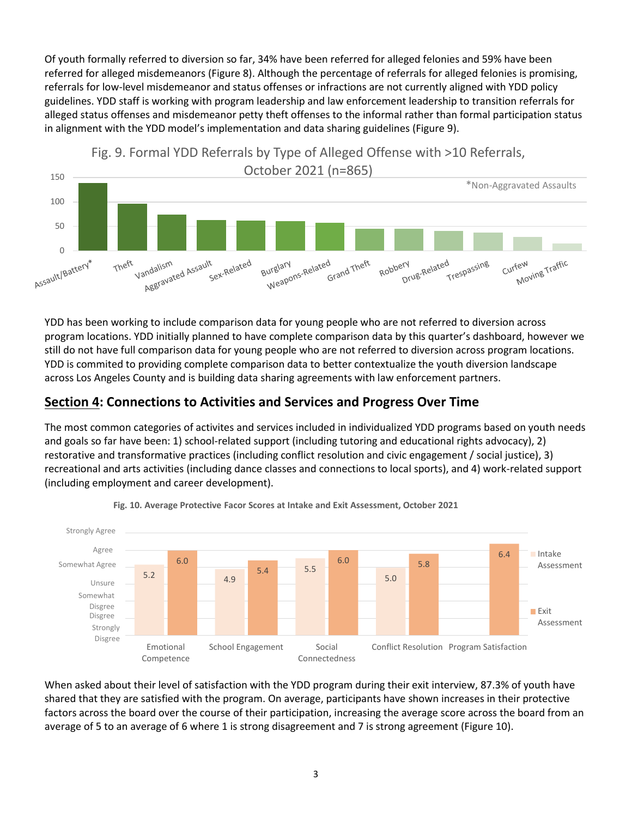Of youth formally referred to diversion so far, 34% have been referred for alleged felonies and 59% have been referred for alleged misdemeanors (Figure 8). Although the percentage of referrals for alleged felonies is promising, referrals for low-level misdemeanor and status offenses or infractions are not currently aligned with YDD policy guidelines. YDD staff is working with program leadership and law enforcement leadership to transition referrals for alleged status offenses and misdemeanor petty theft offenses to the informal rather than formal participation status in alignment with the YDD model's implementation and data sharing guidelines (Figure 9).



YDD has been working to include comparison data for young people who are not referred to diversion across program locations. YDD initially planned to have complete comparison data by this quarter's dashboard, however we still do not have full comparison data for young people who are not referred to diversion across program locations. YDD is commited to providing complete comparison data to better contextualize the youth diversion landscape across Los Angeles County and is building data sharing agreements with law enforcement partners.

## **Section 4: Connections to Activities and Services and Progress Over Time**

The most common categories of activites and services included in individualized YDD programs based on youth needs and goals so far have been: 1) school-related support (including tutoring and educational rights advocacy), 2) restorative and transformative practices (including conflict resolution and civic engagement / social justice), 3) recreational and arts activities (including dance classes and connections to local sports), and 4) work-related support (including employment and career development).





When asked about their level of satisfaction with the YDD program during their exit interview, 87.3% of youth have shared that they are satisfied with the program. On average, participants have shown increases in their protective factors across the board over the course of their participation, increasing the average score across the board from an average of 5 to an average of 6 where 1 is strong disagreement and 7 is strong agreement (Figure 10).